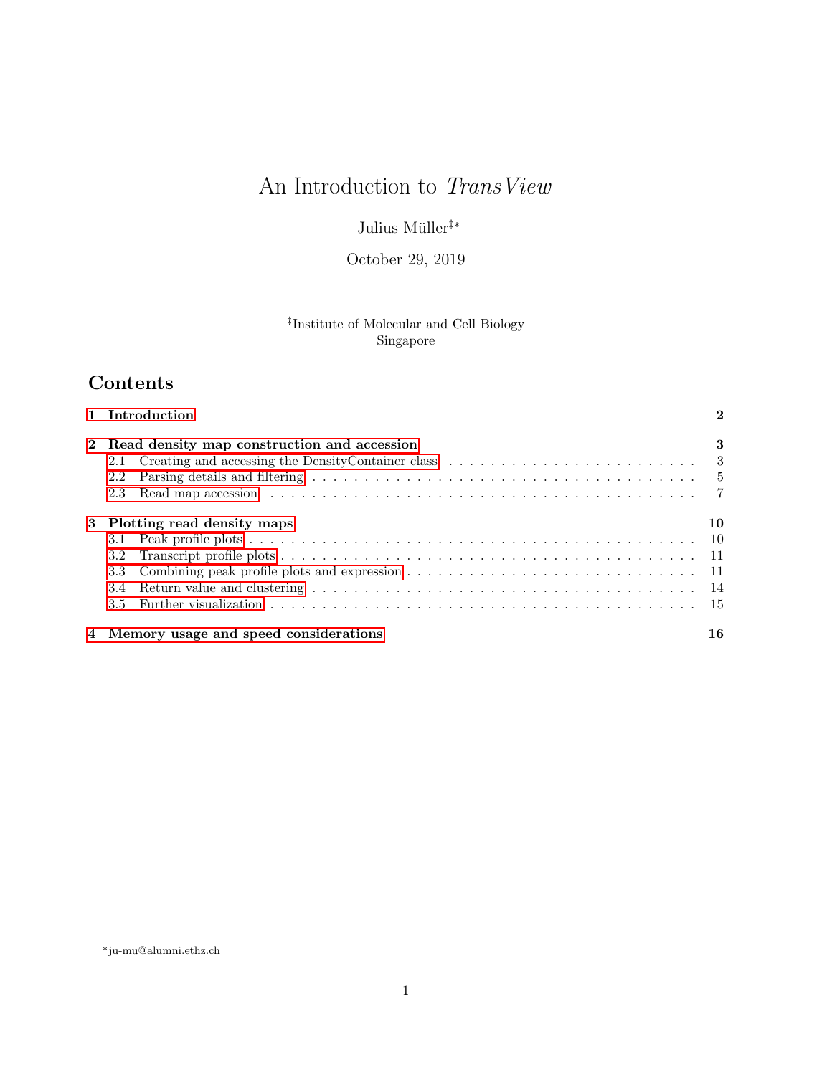# An Introduction to  $\mathit{TransView}$

Julius Müller<sup>‡\*</sup>

October 29, 2019

## ‡ Institute of Molecular and Cell Biology Singapore

## Contents

| 1 Introduction                                |                                         |    |  |  |  |  |  |  |
|-----------------------------------------------|-----------------------------------------|----|--|--|--|--|--|--|
| 2 Read density map construction and accession |                                         |    |  |  |  |  |  |  |
| 2.1                                           |                                         |    |  |  |  |  |  |  |
| 2.2                                           |                                         |    |  |  |  |  |  |  |
| 2.3                                           |                                         |    |  |  |  |  |  |  |
| 3 Plotting read density maps                  |                                         |    |  |  |  |  |  |  |
|                                               |                                         |    |  |  |  |  |  |  |
| 3.2 <sub>1</sub>                              |                                         |    |  |  |  |  |  |  |
| 3.3                                           |                                         |    |  |  |  |  |  |  |
|                                               |                                         |    |  |  |  |  |  |  |
| 3.5                                           |                                         |    |  |  |  |  |  |  |
|                                               | 4 Memory usage and speed considerations | 16 |  |  |  |  |  |  |

<sup>\*</sup> ju-mu@alumni.ethz.ch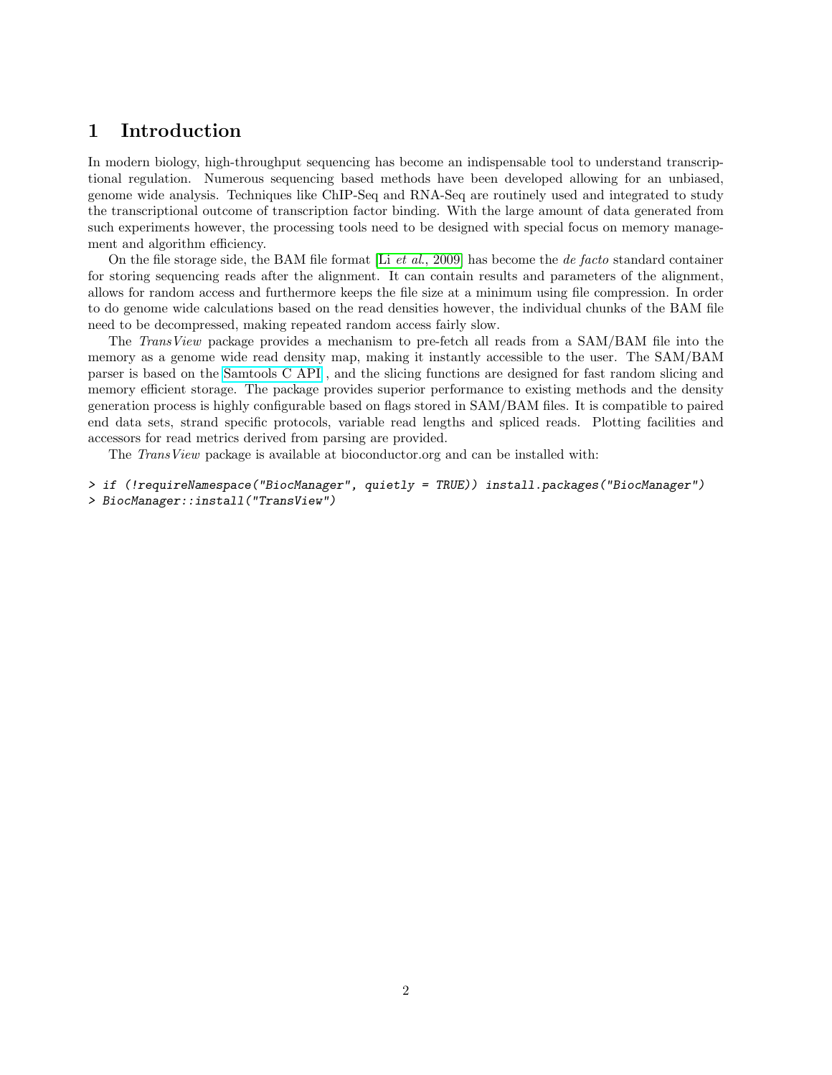## <span id="page-1-0"></span>1 Introduction

In modern biology, high-throughput sequencing has become an indispensable tool to understand transcriptional regulation. Numerous sequencing based methods have been developed allowing for an unbiased, genome wide analysis. Techniques like ChIP-Seq and RNA-Seq are routinely used and integrated to study the transcriptional outcome of transcription factor binding. With the large amount of data generated from such experiments however, the processing tools need to be designed with special focus on memory management and algorithm efficiency.

On the file storage side, the BAM file format  $[Li et al., 2009]$  $[Li et al., 2009]$  has become the *de facto* standard container for storing sequencing reads after the alignment. It can contain results and parameters of the alignment, allows for random access and furthermore keeps the file size at a minimum using file compression. In order to do genome wide calculations based on the read densities however, the individual chunks of the BAM file need to be decompressed, making repeated random access fairly slow.

The TransView package provides a mechanism to pre-fetch all reads from a SAM/BAM file into the memory as a genome wide read density map, making it instantly accessible to the user. The SAM/BAM parser is based on the [Samtools C API](http://samtools.sourceforge.net/samtools/masterTOC.html) , and the slicing functions are designed for fast random slicing and memory efficient storage. The package provides superior performance to existing methods and the density generation process is highly configurable based on flags stored in SAM/BAM files. It is compatible to paired end data sets, strand specific protocols, variable read lengths and spliced reads. Plotting facilities and accessors for read metrics derived from parsing are provided.

The *TransView* package is available at bioconductor.org and can be installed with:

```
> if (!requireNamespace("BiocManager", quietly = TRUE)) install.packages("BiocManager")
> BiocManager::install("TransView")
```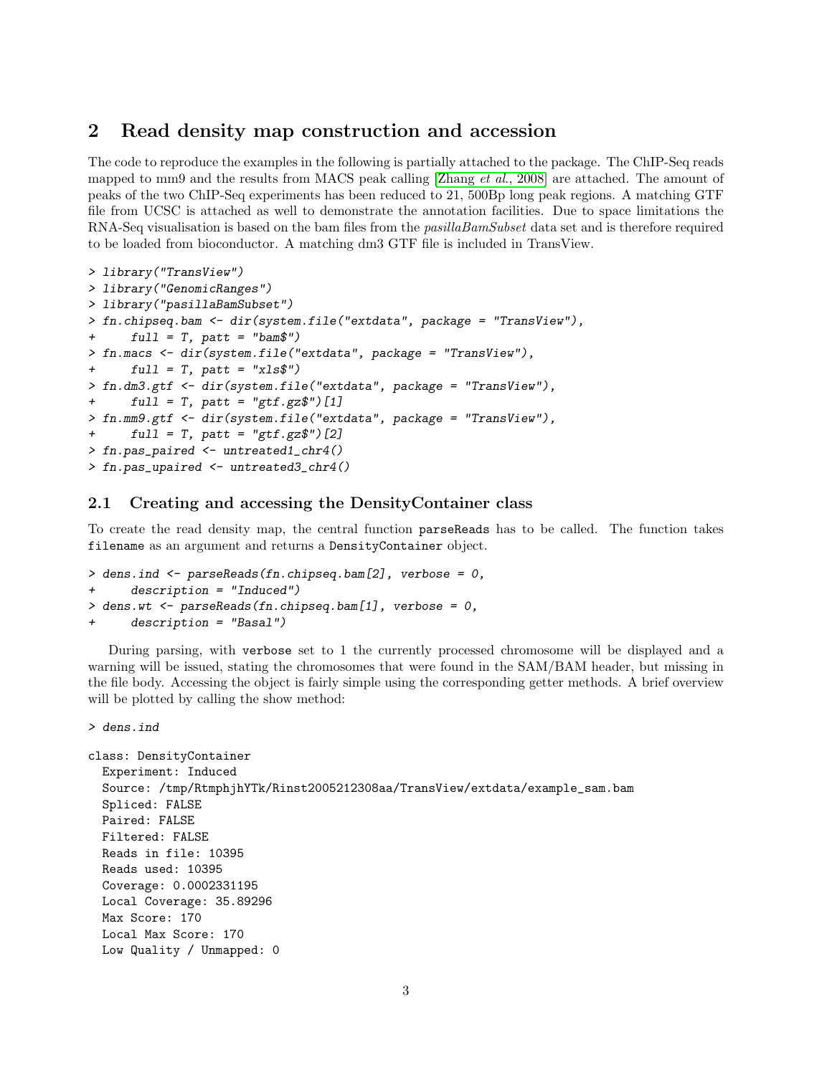## <span id="page-2-0"></span>2 Read density map construction and accession

The code to reproduce the examples in the following is partially attached to the package. The ChIP-Seq reads mapped to mm9 and the results from MACS peak calling [Zhang *et al.*, 2008] are attached. The amount of peaks of the two ChIP-Seq experiments has been reduced to 21, 500Bp long peak regions. A matching GTF file from UCSC is attached as well to demonstrate the annotation facilities. Due to space limitations the RNA-Seq visualisation is based on the bam files from the *pasillaBamSubset* data set and is therefore required to be loaded from bioconductor. A matching dm3 GTF file is included in TransView.

```
> library("TransView")
> library("GenomicRanges")
> library("pasillaBamSubset")
> fn.chipseq.bam <- dir(system.file("extdata", package = "TransView"),
+ full = T, patt = "bam$")> fn.macs <- dir(system.file("extdata", package = "TransView"),
+ full = T, patt = "xls$"> fn.dm3.gtf <- dir(system.file("extdata", package = "TransView"),
+ full = T, patt = "gtf.gz$") [1]> fn.mm9.gtf <- dir(system.file("extdata", package = "TransView"),
+ full = T, patt = "gtf.gz$") [2]> fn.pas_paired <- untreated1_chr4()
> fn.pas_upaired <- untreated3_chr4()
```
#### <span id="page-2-1"></span>2.1 Creating and accessing the DensityContainer class

To create the read density map, the central function parseReads has to be called. The function takes filename as an argument and returns a DensityContainer object.

```
> dens.ind <- parseReads(fn.chipseq.bam[2], verbose = 0,
+ description = "Induced")
> dens.wt <- parseReads(fn.chipseq.bam[1], verbose = 0,
     description = "Basal")
```
During parsing, with verbose set to 1 the currently processed chromosome will be displayed and a warning will be issued, stating the chromosomes that were found in the SAM/BAM header, but missing in the file body. Accessing the object is fairly simple using the corresponding getter methods. A brief overview will be plotted by calling the show method:

```
> dens.ind
```

```
class: DensityContainer
 Experiment: Induced
 Source: /tmp/RtmphjhYTk/Rinst2005212308aa/TransView/extdata/example_sam.bam
 Spliced: FALSE
 Paired: FALSE
 Filtered: FALSE
 Reads in file: 10395
 Reads used: 10395
 Coverage: 0.0002331195
 Local Coverage: 35.89296
 Max Score: 170
 Local Max Score: 170
 Low Quality / Unmapped: 0
```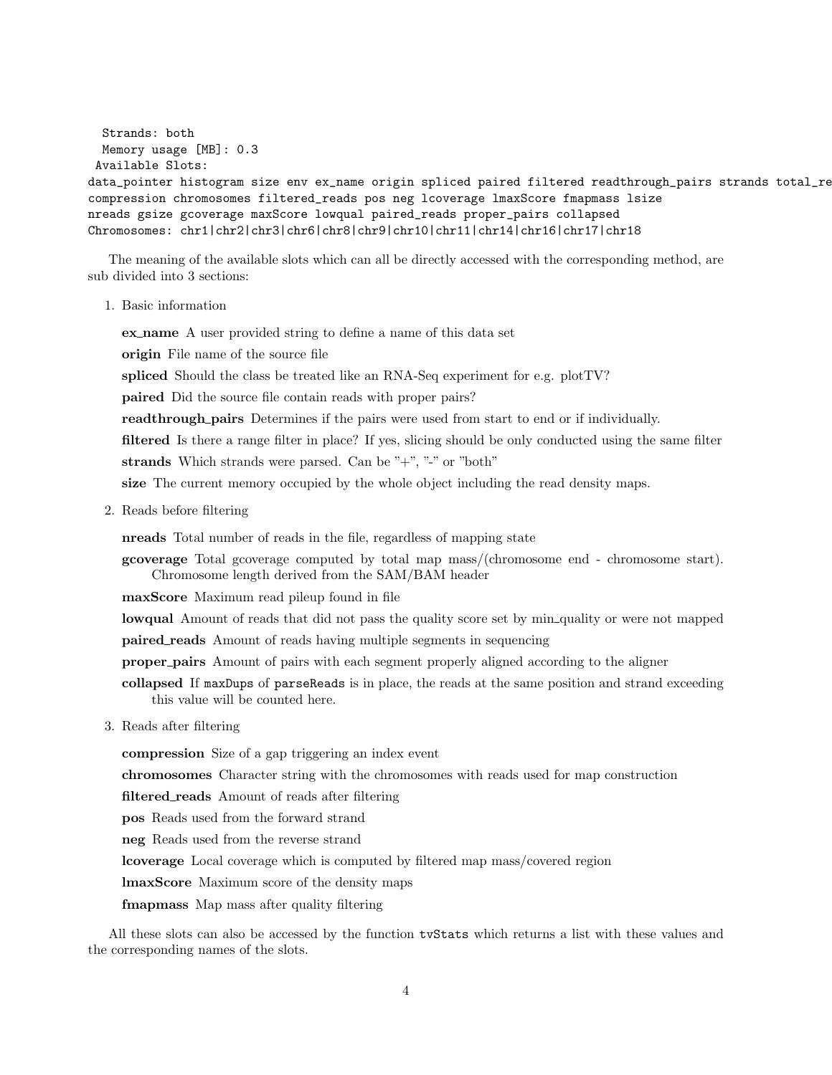```
Strands: both
 Memory usage [MB]: 0.3
Available Slots:
data_pointer histogram size env ex_name origin spliced paired filtered readthrough_pairs strands total_re
compression chromosomes filtered_reads pos neg lcoverage lmaxScore fmapmass lsize
nreads gsize gcoverage maxScore lowqual paired_reads proper_pairs collapsed
Chromosomes: chr1|chr2|chr3|chr6|chr8|chr9|chr10|chr11|chr14|chr16|chr17|chr18
```
The meaning of the available slots which can all be directly accessed with the corresponding method, are sub divided into 3 sections:

1. Basic information

ex name A user provided string to define a name of this data set

origin File name of the source file

spliced Should the class be treated like an RNA-Seq experiment for e.g. plotTV?

paired Did the source file contain reads with proper pairs?

readthrough pairs Determines if the pairs were used from start to end or if individually.

filtered Is there a range filter in place? If yes, slicing should be only conducted using the same filter

strands Which strands were parsed. Can be "+", "-" or "both"

size The current memory occupied by the whole object including the read density maps.

2. Reads before filtering

nreads Total number of reads in the file, regardless of mapping state

gcoverage Total gcoverage computed by total map mass/(chromosome end - chromosome start). Chromosome length derived from the SAM/BAM header

maxScore Maximum read pileup found in file

lowqual Amount of reads that did not pass the quality score set by min-quality or were not mapped

paired reads Amount of reads having multiple segments in sequencing

proper pairs Amount of pairs with each segment properly aligned according to the aligner

collapsed If maxDups of parseReads is in place, the reads at the same position and strand exceeding this value will be counted here.

3. Reads after filtering

compression Size of a gap triggering an index event

chromosomes Character string with the chromosomes with reads used for map construction

filtered\_reads Amount of reads after filtering

pos Reads used from the forward strand

neg Reads used from the reverse strand

lcoverage Local coverage which is computed by filtered map mass/covered region

lmaxScore Maximum score of the density maps

fmapmass Map mass after quality filtering

All these slots can also be accessed by the function tvStats which returns a list with these values and the corresponding names of the slots.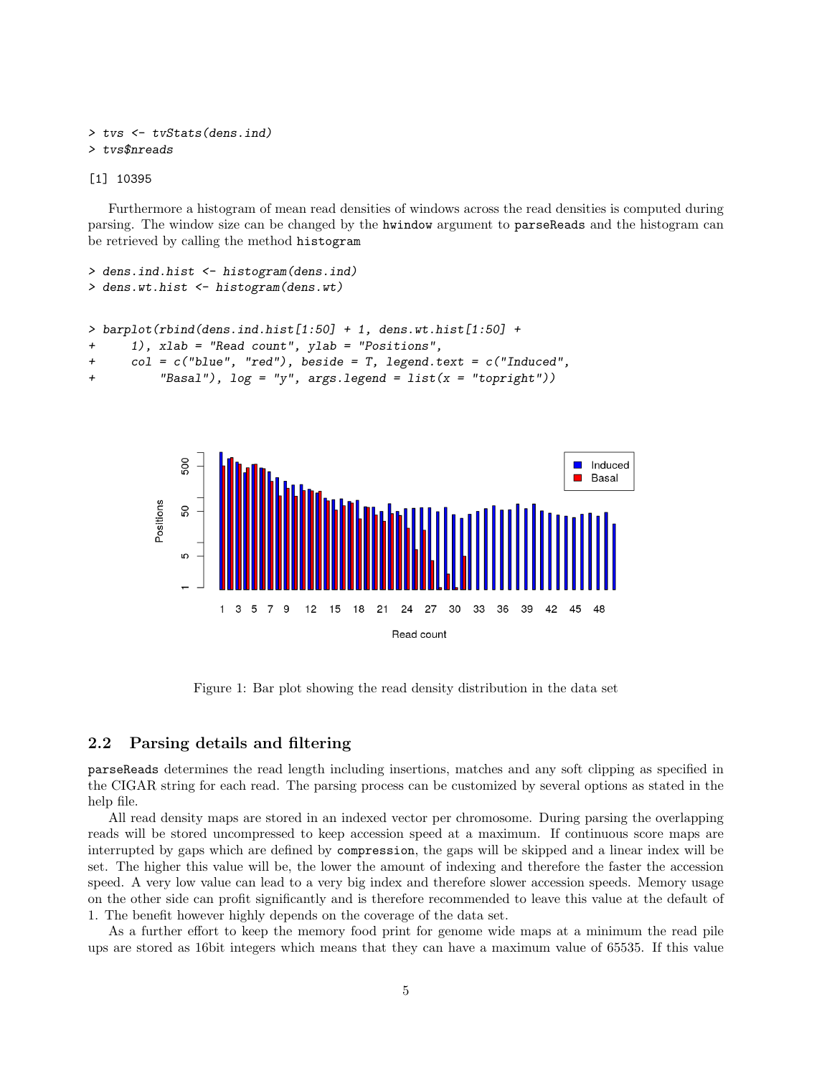```
> tvs <- tvStats(dens.ind)
> tvs$nreads
```
[1] 10395

Furthermore a histogram of mean read densities of windows across the read densities is computed during parsing. The window size can be changed by the hwindow argument to parseReads and the histogram can be retrieved by calling the method histogram

```
> dens.ind.hist <- histogram(dens.ind)
> dens.wt.hist <- histogram(dens.wt)
> barplot(rbind(dens.ind.hist[1:50] + 1, dens.wt.hist[1:50] +
+ 1), xlab = "Read count", ylab = "Positions",
+ col = c("blue", "red"), beside = T, legend.text = c("Induced",
+ "Basal"), log = "y", args.legend = list(x = "topright"))
```


Figure 1: Bar plot showing the read density distribution in the data set

#### <span id="page-4-0"></span>2.2 Parsing details and filtering

parseReads determines the read length including insertions, matches and any soft clipping as specified in the CIGAR string for each read. The parsing process can be customized by several options as stated in the help file.

All read density maps are stored in an indexed vector per chromosome. During parsing the overlapping reads will be stored uncompressed to keep accession speed at a maximum. If continuous score maps are interrupted by gaps which are defined by compression, the gaps will be skipped and a linear index will be set. The higher this value will be, the lower the amount of indexing and therefore the faster the accession speed. A very low value can lead to a very big index and therefore slower accession speeds. Memory usage on the other side can profit significantly and is therefore recommended to leave this value at the default of 1. The benefit however highly depends on the coverage of the data set.

As a further effort to keep the memory food print for genome wide maps at a minimum the read pile ups are stored as 16bit integers which means that they can have a maximum value of 65535. If this value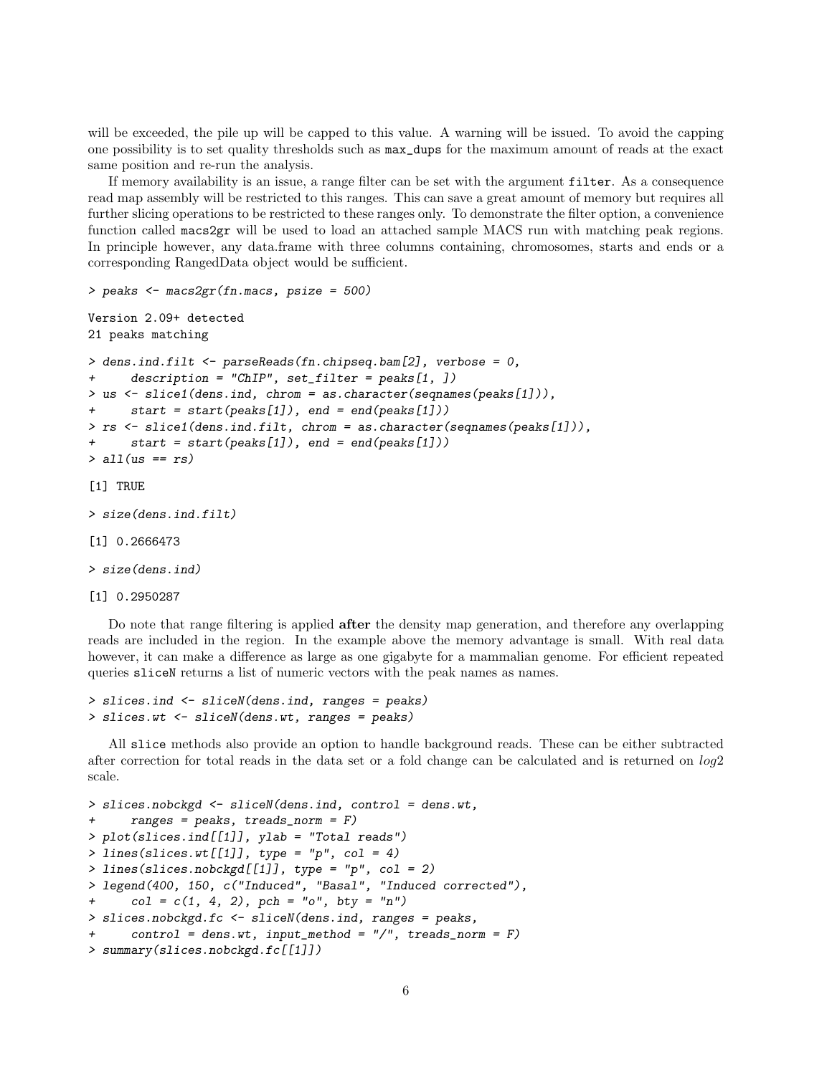will be exceeded, the pile up will be capped to this value. A warning will be issued. To avoid the capping one possibility is to set quality thresholds such as max\_dups for the maximum amount of reads at the exact same position and re-run the analysis.

If memory availability is an issue, a range filter can be set with the argument filter. As a consequence read map assembly will be restricted to this ranges. This can save a great amount of memory but requires all further slicing operations to be restricted to these ranges only. To demonstrate the filter option, a convenience function called macs2gr will be used to load an attached sample MACS run with matching peak regions. In principle however, any data.frame with three columns containing, chromosomes, starts and ends or a corresponding RangedData object would be sufficient.

```
> peaks <- macs2gr(fn.macs, psize = 500)
```

```
Version 2.09+ detected
21 peaks matching
```

```
> dens.ind.filt <- parseReads(fn.chipseq.bam[2], verbose = 0,
+ description = "ChIP", set_filter = peaks[1, ])
> us <- slice1(dens.ind, chrom = as.character(seqnames(peaks[1])),
+ start = start(peaks[1]), end = end(peaks[1]))
> rs <- slice1(dens.ind.filt, chrom = as.character(seqnames(peaks[1])),
     start = start(peaks[1]), end = end(peaks[1]))> all(us == rs)
```

```
[1] TRUE
```

```
> size(dens.ind.filt)
```

```
[1] 0.2666473
```

```
> size(dens.ind)
```

```
[1] 0.2950287
```
Do note that range filtering is applied after the density map generation, and therefore any overlapping reads are included in the region. In the example above the memory advantage is small. With real data however, it can make a difference as large as one gigabyte for a mammalian genome. For efficient repeated queries sliceN returns a list of numeric vectors with the peak names as names.

```
> slices.ind <- sliceN(dens.ind, ranges = peaks)
> slices.wt <- sliceN(dens.wt, ranges = peaks)
```
All slice methods also provide an option to handle background reads. These can be either subtracted after correction for total reads in the data set or a fold change can be calculated and is returned on log2 scale.

```
> slices.nobckgd <- sliceN(dens.ind, control = dens.wt,
      ranges = peaks, treads\_norm = F)> plot(slices.ind[[1]], ylab = "Total reads")
> lines(slices.wt[[1]], type = "p", col = 4)> lines(slices.nobckgd[[1]], type = "p", col = 2)
> legend(400, 150, c("Induced", "Basal", "Induced corrected"),
      col = c(1, 4, 2), pch = "o", bty = "n")> slices.nobckgd.fc <- sliceN(dens.ind, ranges = peaks,
      control = dens.wt, input\_method = ''/", treads\_norm = F)> summary(slices.nobckgd.fc[[1]])
```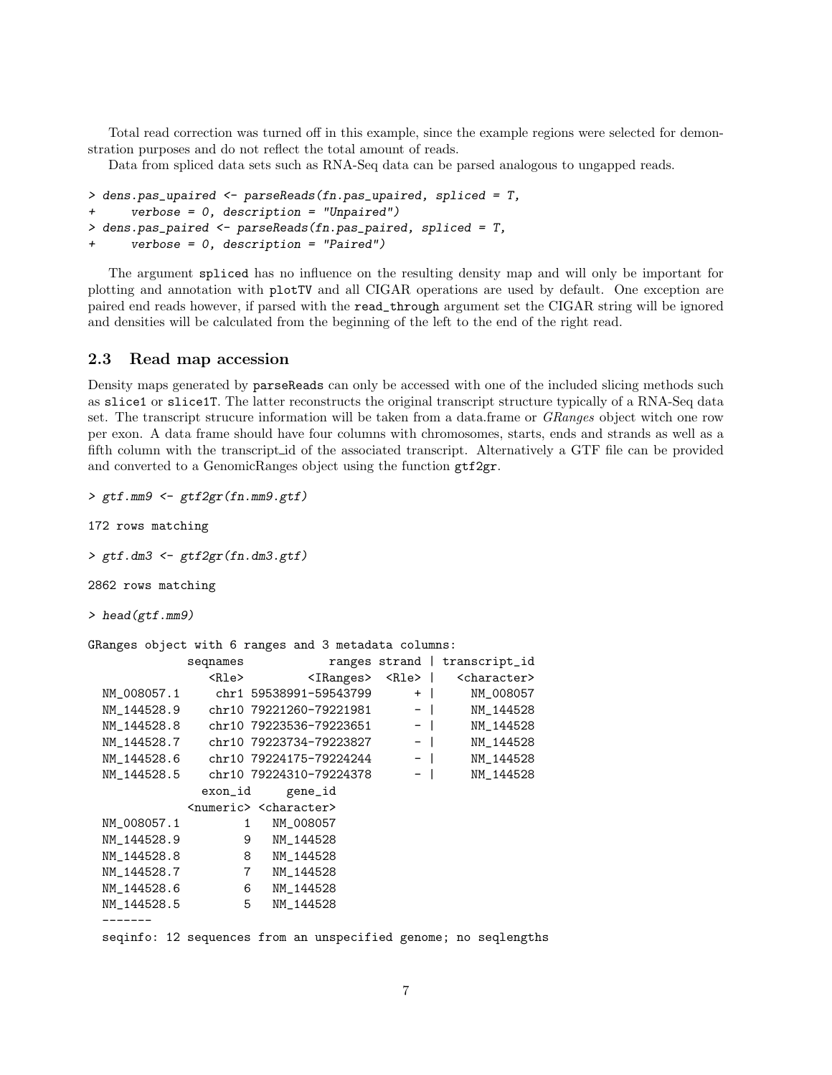Total read correction was turned off in this example, since the example regions were selected for demonstration purposes and do not reflect the total amount of reads.

Data from spliced data sets such as RNA-Seq data can be parsed analogous to ungapped reads.

```
> dens.pas_upaired <- parseReads(fn.pas_upaired, spliced = T,
+ verbose = 0, description = "Unpaired")
> dens.pas_paired <- parseReads(fn.pas_paired, spliced = T,
      verbose = 0, description = "Paired")
```
The argument spliced has no influence on the resulting density map and will only be important for plotting and annotation with plotTV and all CIGAR operations are used by default. One exception are paired end reads however, if parsed with the read\_through argument set the CIGAR string will be ignored and densities will be calculated from the beginning of the left to the end of the right read.

#### <span id="page-6-0"></span>2.3 Read map accession

Density maps generated by parseReads can only be accessed with one of the included slicing methods such as slice1 or slice1T. The latter reconstructs the original transcript structure typically of a RNA-Seq data set. The transcript strucure information will be taken from a data.frame or *GRanges* object witch one row per exon. A data frame should have four columns with chromosomes, starts, ends and strands as well as a fifth column with the transcript id of the associated transcript. Alternatively a GTF file can be provided and converted to a GenomicRanges object using the function gtf2gr.

```
> gtf.mm9 <- gtf2gr(fn.mm9.gtf)
```
172 rows matching

> gtf.dm3 <- gtf2gr(fn.dm3.gtf)

2862 rows matching

```
> head(gtf.mm9)
```
GRanges object with 6 ranges and 3 metadata columns:

|                                                                | seqnames                                    |                         | ranges strand |  | transcript_id           |  |
|----------------------------------------------------------------|---------------------------------------------|-------------------------|---------------|--|-------------------------|--|
|                                                                | <rle></rle>                                 | <iranges></iranges>     | <rle>  </rle> |  | <character></character> |  |
| NM_008057.1                                                    |                                             | chr1 59538991-59543799  | $+$           |  | NM_008057               |  |
| NM_144528.9                                                    |                                             | chr10 79221260-79221981 | $-$           |  | NM_144528               |  |
| NM 144528.8                                                    |                                             | chr10 79223536-79223651 | $-$           |  | NM 144528               |  |
| NM 144528.7                                                    |                                             | chr10 79223734-79223827 | $-$ 1         |  | NM 144528               |  |
| NM_144528.6                                                    |                                             | chr10 79224175-79224244 | $-$           |  | NM_144528               |  |
| NM_144528.5                                                    |                                             | chr10 79224310-79224378 | $-$           |  | NM_144528               |  |
|                                                                | exon_id                                     | gene_id                 |               |  |                         |  |
|                                                                | <numeric> <character></character></numeric> |                         |               |  |                         |  |
| NM_008057.1                                                    | 1                                           | NM_008057               |               |  |                         |  |
| NM 144528.9                                                    | 9                                           | NM 144528               |               |  |                         |  |
| NM 144528.8                                                    | 8                                           | NM 144528               |               |  |                         |  |
| NM_144528.7                                                    | 7                                           | NM_144528               |               |  |                         |  |
| NM_144528.6                                                    | 6                                           | NM_144528               |               |  |                         |  |
| NM_144528.5                                                    | 5                                           | NM_144528               |               |  |                         |  |
|                                                                |                                             |                         |               |  |                         |  |
| acainfor 10 acqueress from an ungresified menomer no acalength |                                             |                         |               |  |                         |  |

seqinfo: 12 sequences from an unspecified genome; no seqlengths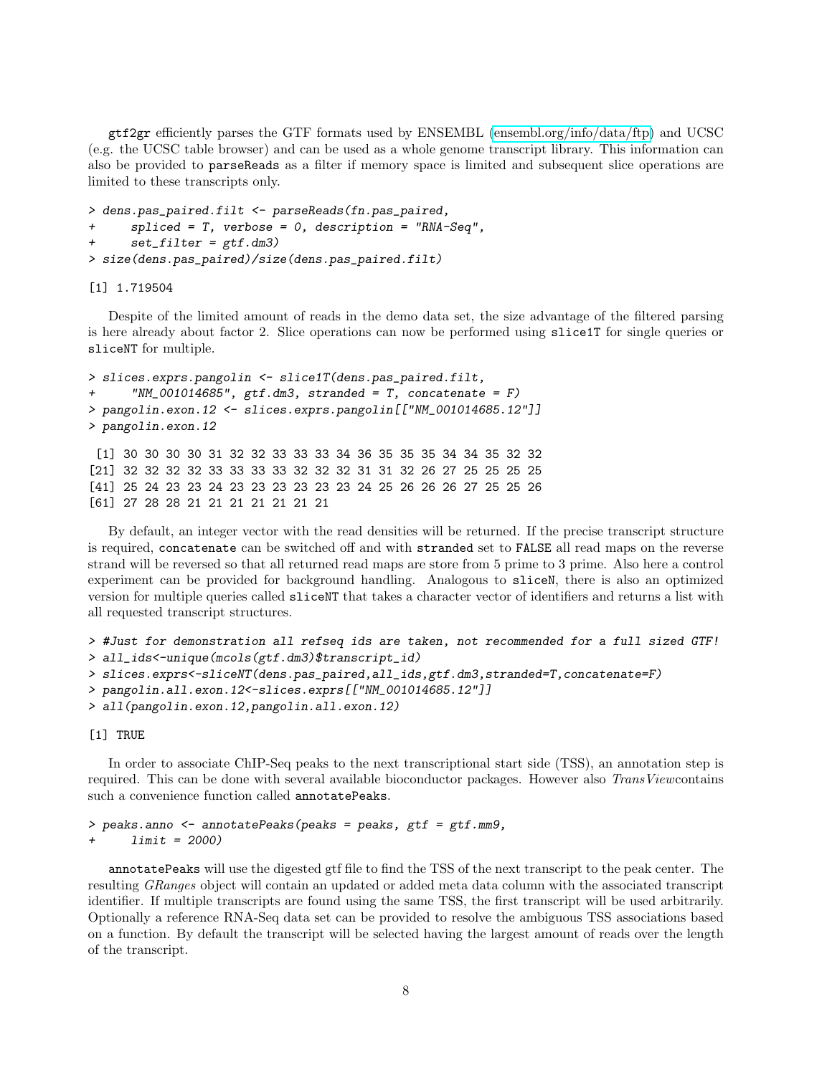gtf2gr efficiently parses the GTF formats used by ENSEMBL [\(ensembl.org/info/data/ftp\)](http://www.ensembl.org/info/data/ftp/index.html) and UCSC (e.g. the UCSC table browser) and can be used as a whole genome transcript library. This information can also be provided to parseReads as a filter if memory space is limited and subsequent slice operations are limited to these transcripts only.

```
> dens.pas_paired.filt <- parseReads(fn.pas_paired,
+ spliced = T, verbose = 0, description = "RNA-Seq",
+ set_filter = gtf.dm3)
> size(dens.pas_paired)/size(dens.pas_paired.filt)
```
[1] 1.719504

Despite of the limited amount of reads in the demo data set, the size advantage of the filtered parsing is here already about factor 2. Slice operations can now be performed using slice1T for single queries or sliceNT for multiple.

```
> slices.exprs.pangolin <- slice1T(dens.pas_paired.filt,
      "NM_001014685", gtf.dm3, stranded = T, concatenate = F)
> pangolin.exon.12 <- slices.exprs.pangolin[["NM_001014685.12"]]
> pangolin.exon.12
 [1] 30 30 30 30 31 32 32 33 33 33 34 36 35 35 35 34 34 35 32 32
[21] 32 32 32 32 33 33 33 33 32 32 32 31 31 32 26 27 25 25 25 25
[41] 25 24 23 23 24 23 23 23 23 23 23 24 25 26 26 26 27 25 25 26
[61] 27 28 28 21 21 21 21 21 21 21
```
By default, an integer vector with the read densities will be returned. If the precise transcript structure is required, concatenate can be switched off and with stranded set to FALSE all read maps on the reverse strand will be reversed so that all returned read maps are store from 5 prime to 3 prime. Also here a control experiment can be provided for background handling. Analogous to sliceN, there is also an optimized version for multiple queries called sliceNT that takes a character vector of identifiers and returns a list with all requested transcript structures.

```
> #Just for demonstration all refseq ids are taken, not recommended for a full sized GTF!
> all_ids<-unique(mcols(gtf.dm3)$transcript_id)
> slices.exprs<-sliceNT(dens.pas_paired,all_ids,gtf.dm3,stranded=T,concatenate=F)
> pangolin.all.exon.12<-slices.exprs[["NM_001014685.12"]]
> all(pangolin.exon.12,pangolin.all.exon.12)
```
[1] TRUE

In order to associate ChIP-Seq peaks to the next transcriptional start side (TSS), an annotation step is required. This can be done with several available bioconductor packages. However also TransViewcontains such a convenience function called annotatePeaks.

```
> peaks.anno <- annotatePeaks(peaks = peaks, gtf = gtf.mm9,
+ limit = 2000)
```
annotatePeaks will use the digested gtf file to find the TSS of the next transcript to the peak center. The resulting GRanges object will contain an updated or added meta data column with the associated transcript identifier. If multiple transcripts are found using the same TSS, the first transcript will be used arbitrarily. Optionally a reference RNA-Seq data set can be provided to resolve the ambiguous TSS associations based on a function. By default the transcript will be selected having the largest amount of reads over the length of the transcript.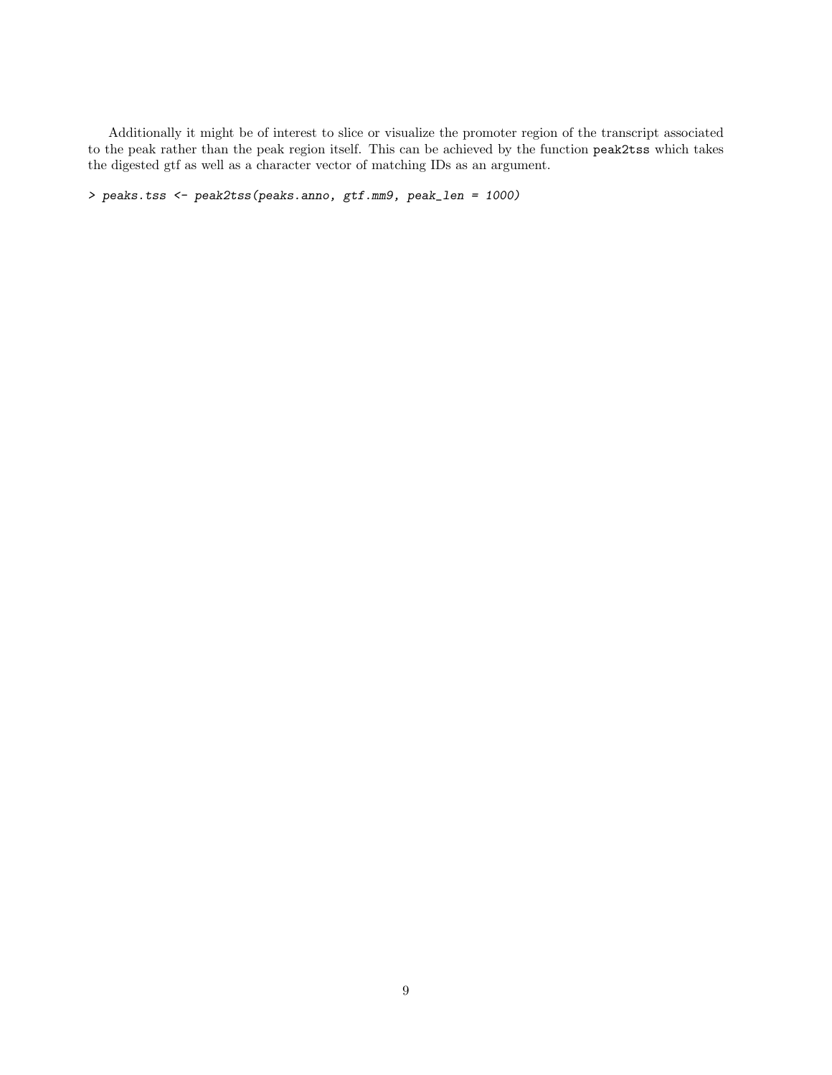Additionally it might be of interest to slice or visualize the promoter region of the transcript associated to the peak rather than the peak region itself. This can be achieved by the function peak2tss which takes the digested gtf as well as a character vector of matching IDs as an argument.

> peaks.tss <- peak2tss(peaks.anno, gtf.mm9, peak\_len = 1000)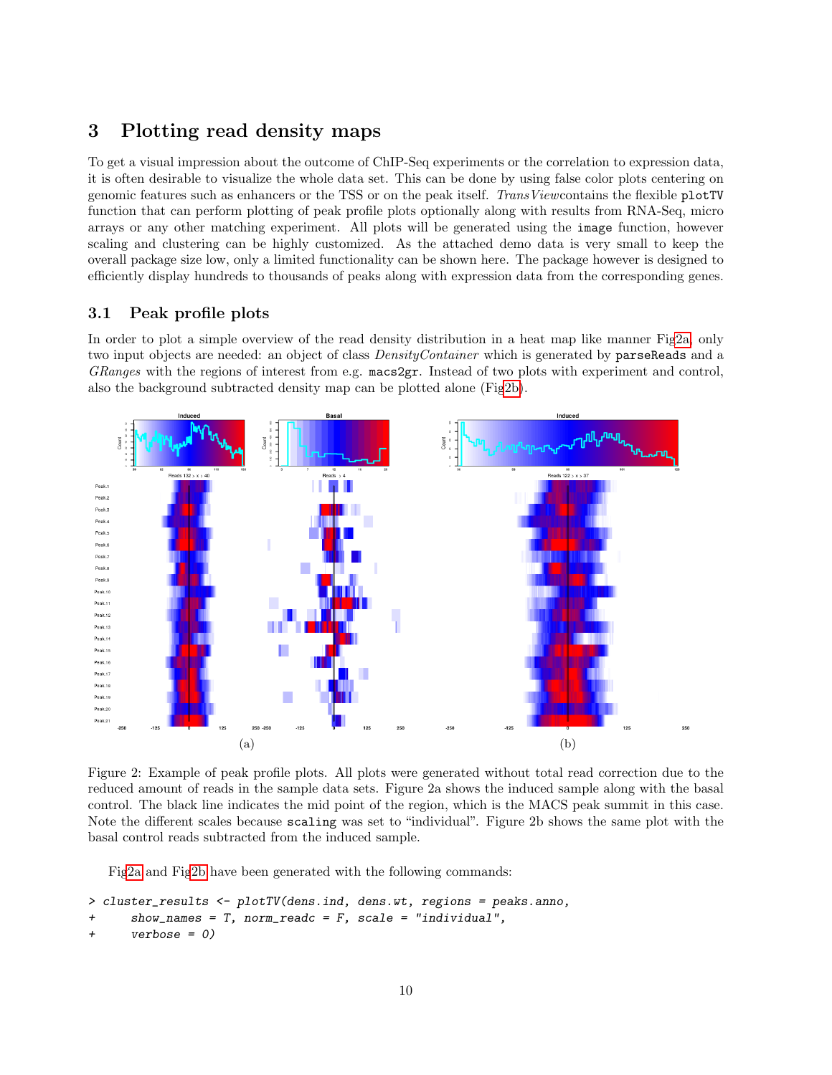## <span id="page-9-0"></span>3 Plotting read density maps

To get a visual impression about the outcome of ChIP-Seq experiments or the correlation to expression data, it is often desirable to visualize the whole data set. This can be done by using false color plots centering on genomic features such as enhancers or the TSS or on the peak itself. TransViewcontains the flexible plotTV function that can perform plotting of peak profile plots optionally along with results from RNA-Seq, micro arrays or any other matching experiment. All plots will be generated using the image function, however scaling and clustering can be highly customized. As the attached demo data is very small to keep the overall package size low, only a limited functionality can be shown here. The package however is designed to efficiently display hundreds to thousands of peaks along with expression data from the corresponding genes.

## <span id="page-9-1"></span>3.1 Peak profile plots

In order to plot a simple overview of the read density distribution in a heat map like manner Fi[g2a,](#page-9-2) only two input objects are needed: an object of class *DensityContainer* which is generated by **parseReads** and a GRanges with the regions of interest from e.g. macs2gr. Instead of two plots with experiment and control, also the background subtracted density map can be plotted alone (Fi[g2b\)](#page-9-2).

<span id="page-9-2"></span>

Figure 2: Example of peak profile plots. All plots were generated without total read correction due to the reduced amount of reads in the sample data sets. Figure 2a shows the induced sample along with the basal control. The black line indicates the mid point of the region, which is the MACS peak summit in this case. Note the different scales because scaling was set to "individual". Figure 2b shows the same plot with the basal control reads subtracted from the induced sample.

Fi[g2a](#page-9-2) and Fi[g2b](#page-9-2) have been generated with the following commands:

```
> cluster_results <- plotTV(dens.ind, dens.wt, regions = peaks.anno,
      show\_names = T, norm\_readc = F, scale = "individual",verpose = 0)
```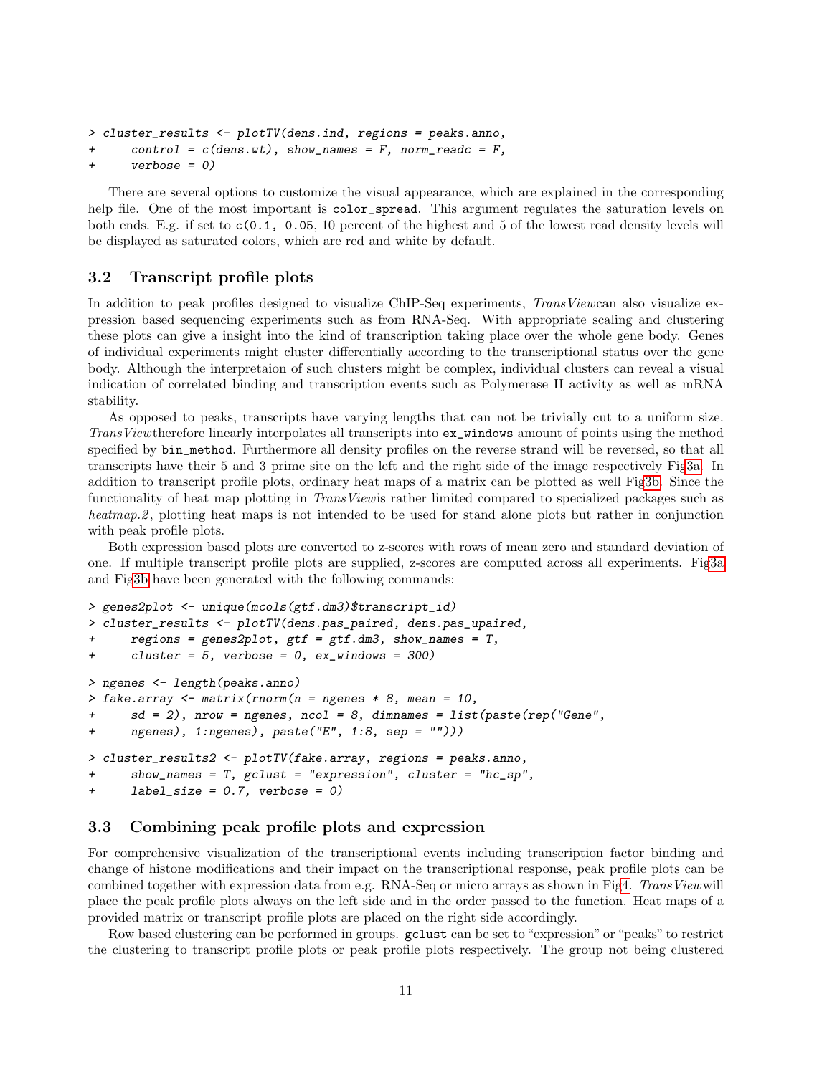```
> cluster_results <- plotTV(dens.ind, regions = peaks.anno,
```

```
control = c(dens.wt), show_names = F, norm_readc = F,
```

```
+ verbose = 0)
```
There are several options to customize the visual appearance, which are explained in the corresponding help file. One of the most important is color\_spread. This argument regulates the saturation levels on both ends. E.g. if set to c(0.1, 0.05, 10 percent of the highest and 5 of the lowest read density levels will be displayed as saturated colors, which are red and white by default.

## <span id="page-10-0"></span>3.2 Transcript profile plots

In addition to peak profiles designed to visualize ChIP-Seq experiments, TransViewcan also visualize expression based sequencing experiments such as from RNA-Seq. With appropriate scaling and clustering these plots can give a insight into the kind of transcription taking place over the whole gene body. Genes of individual experiments might cluster differentially according to the transcriptional status over the gene body. Although the interpretaion of such clusters might be complex, individual clusters can reveal a visual indication of correlated binding and transcription events such as Polymerase II activity as well as mRNA stability.

As opposed to peaks, transcripts have varying lengths that can not be trivially cut to a uniform size. TransViewtherefore linearly interpolates all transcripts into ex\_windows amount of points using the method specified by bin\_method. Furthermore all density profiles on the reverse strand will be reversed, so that all transcripts have their 5 and 3 prime site on the left and the right side of the image respectively Fi[g3a.](#page-11-0) In addition to transcript profile plots, ordinary heat maps of a matrix can be plotted as well Fi[g3b.](#page-11-0) Since the functionality of heat map plotting in *TransViewis* rather limited compared to specialized packages such as heatmap. 2, plotting heat maps is not intended to be used for stand alone plots but rather in conjunction with peak profile plots.

Both expression based plots are converted to z-scores with rows of mean zero and standard deviation of one. If multiple transcript profile plots are supplied, z-scores are computed across all experiments. Fi[g3a](#page-11-0) and Fi[g3b](#page-11-0) have been generated with the following commands:

```
> genes2plot <- unique(mcols(gtf.dm3)$transcript_id)
> cluster_results <- plotTV(dens.pas_paired, dens.pas_upaired,
+ regions = genes2plot, gtf = gtf.dm3, show_names = T,
+ cluster = 5, verbose = 0, ex_windows = 300)
> ngenes <- length(peaks.anno)
> fake.array \leq matrix(rnorm(n = ngenes * 8, mean = 10,
+ sd = 2), nrow = ngenes, ncol = 8, dimnames = list(paste(rep("Gene",
+ ngenes), 1:ngenes), paste("E", 1:8, sep = "")))
> cluster_results2 <- plotTV(fake.array, regions = peaks.anno,
+ show_names = T, gclust = "expression", cluster = "hc_sp",
+ label_size = 0.7, verbose = 0)
```
#### <span id="page-10-1"></span>3.3 Combining peak profile plots and expression

For comprehensive visualization of the transcriptional events including transcription factor binding and change of histone modifications and their impact on the transcriptional response, peak profile plots can be combined together with expression data from e.g. RNA-Seq or micro arrays as shown in Fi[g4.](#page-12-0) TransViewwill place the peak profile plots always on the left side and in the order passed to the function. Heat maps of a provided matrix or transcript profile plots are placed on the right side accordingly.

Row based clustering can be performed in groups. gclust can be set to "expression" or "peaks" to restrict the clustering to transcript profile plots or peak profile plots respectively. The group not being clustered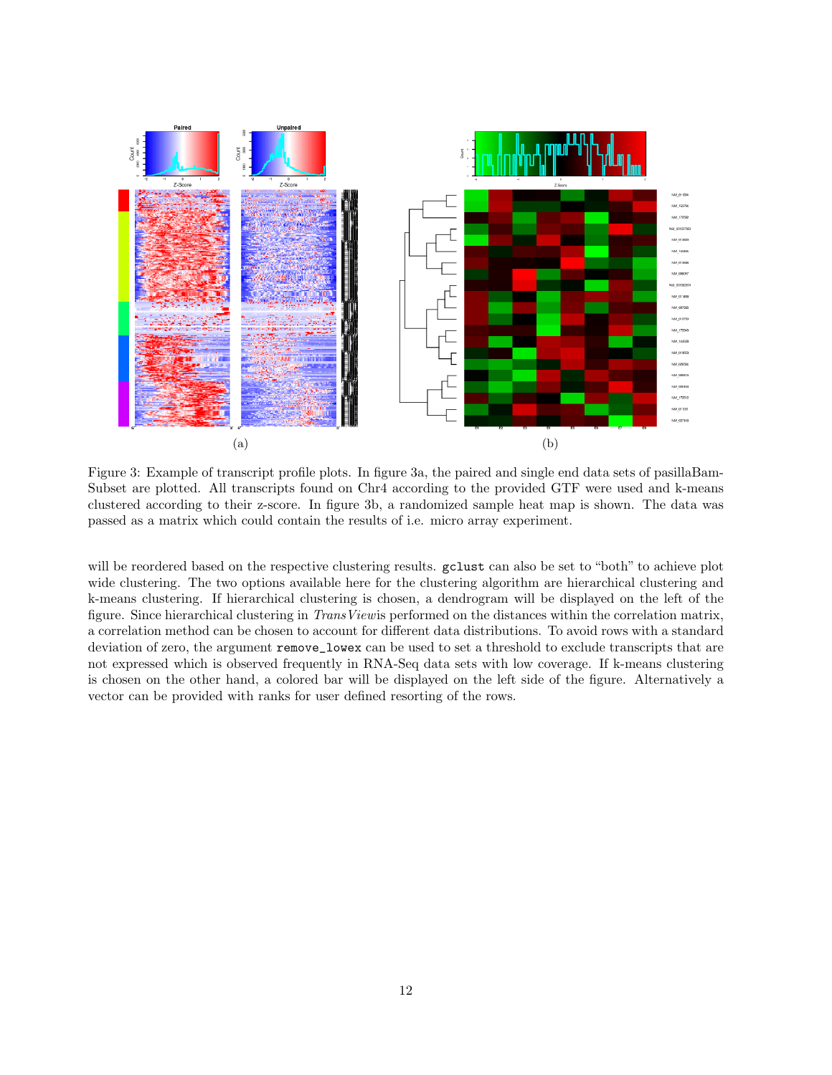<span id="page-11-0"></span>

Figure 3: Example of transcript profile plots. In figure 3a, the paired and single end data sets of pasillaBam-Subset are plotted. All transcripts found on Chr4 according to the provided GTF were used and k-means clustered according to their z-score. In figure 3b, a randomized sample heat map is shown. The data was passed as a matrix which could contain the results of i.e. micro array experiment.

will be reordered based on the respective clustering results. gclust can also be set to "both" to achieve plot wide clustering. The two options available here for the clustering algorithm are hierarchical clustering and k-means clustering. If hierarchical clustering is chosen, a dendrogram will be displayed on the left of the figure. Since hierarchical clustering in TransViewis performed on the distances within the correlation matrix, a correlation method can be chosen to account for different data distributions. To avoid rows with a standard deviation of zero, the argument remove\_lowex can be used to set a threshold to exclude transcripts that are not expressed which is observed frequently in RNA-Seq data sets with low coverage. If k-means clustering is chosen on the other hand, a colored bar will be displayed on the left side of the figure. Alternatively a vector can be provided with ranks for user defined resorting of the rows.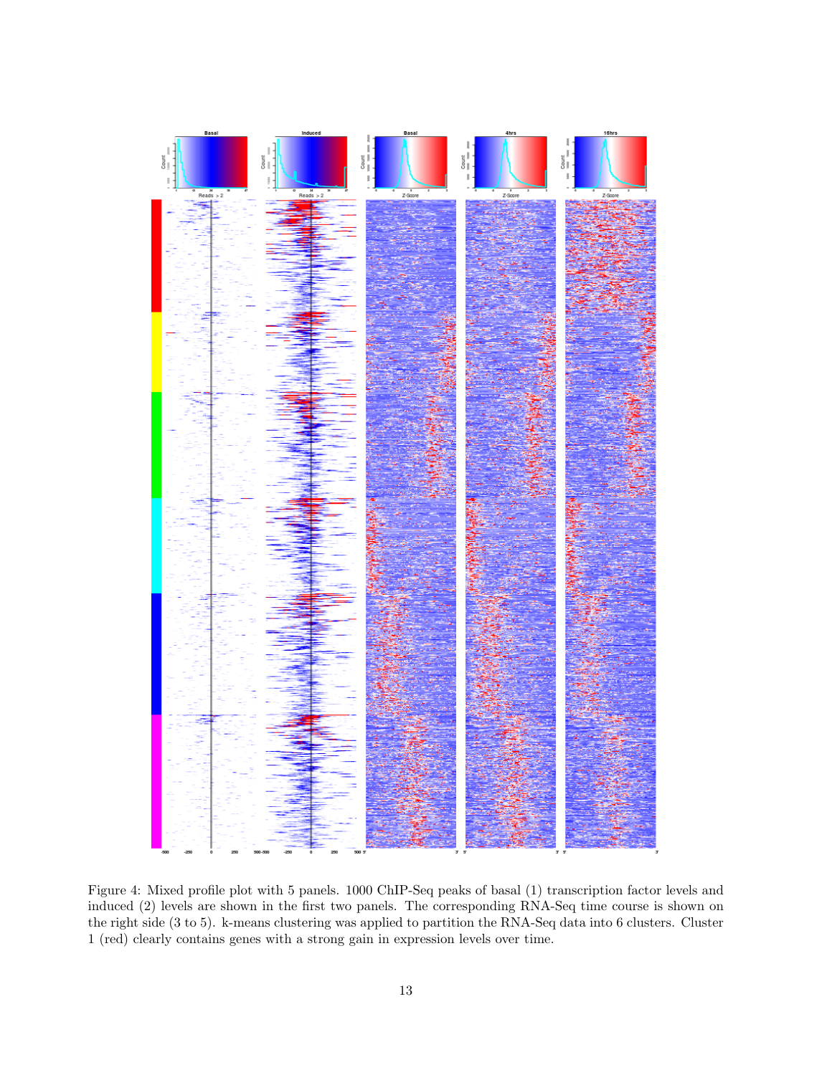<span id="page-12-0"></span>

Figure 4: Mixed profile plot with 5 panels. 1000 ChIP-Seq peaks of basal (1) transcription factor levels and induced (2) levels are shown in the first two panels. The corresponding RNA-Seq time course is shown on the right side (3 to 5). k-means clustering was applied to partition the RNA-Seq data into 6 clusters. Cluster 1 (red) clearly contains genes with a strong gain in expression levels over time.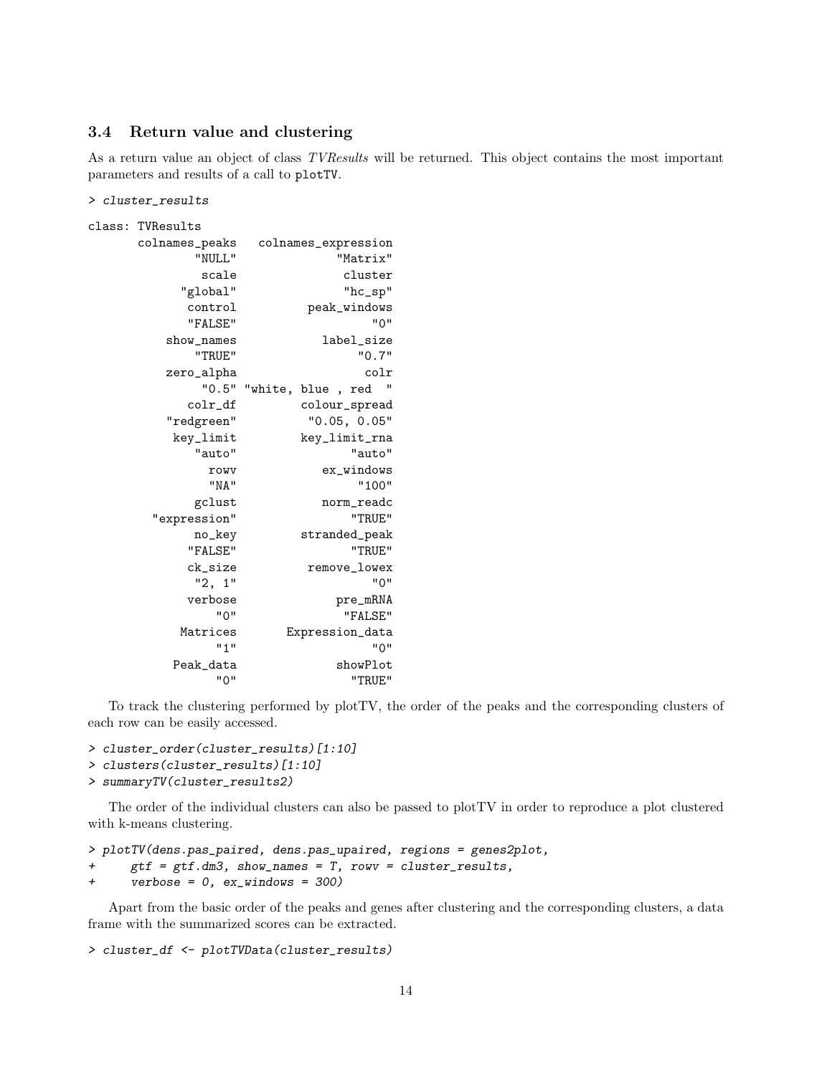#### <span id="page-13-0"></span>3.4 Return value and clustering

As a return value an object of class TVResults will be returned. This object contains the most important parameters and results of a call to plotTV.

> cluster\_results

class: TVResults

| colnames_peaks | colnames_expression                              |  |  |  |  |  |
|----------------|--------------------------------------------------|--|--|--|--|--|
| "NULL"         | "Matrix"                                         |  |  |  |  |  |
| scale          | cluster                                          |  |  |  |  |  |
| "global"       | $"$ hc_sp $"$                                    |  |  |  |  |  |
| control        | peak_windows                                     |  |  |  |  |  |
| "FALSE"        | "ט"                                              |  |  |  |  |  |
| show_names     | label_size                                       |  |  |  |  |  |
| "TRUE"         | "0.7"                                            |  |  |  |  |  |
| zero_alpha     | colr                                             |  |  |  |  |  |
| "0.5"          | ш<br>"white, blue<br>red<br>$\ddot{\phantom{1}}$ |  |  |  |  |  |
| colr_df        | colour_spread                                    |  |  |  |  |  |
| "redgreen"     | "0.05, 0.05"                                     |  |  |  |  |  |
| key_limit      | key_limit_rna                                    |  |  |  |  |  |
| "auto"         | "auto"                                           |  |  |  |  |  |
| rowy           | ex_windows                                       |  |  |  |  |  |
| "NA"           | "100"                                            |  |  |  |  |  |
| gclust         | norm_readc                                       |  |  |  |  |  |
| "expression"   | "TRUE"                                           |  |  |  |  |  |
| no_key         | stranded_peak                                    |  |  |  |  |  |
| "FALSE"        | "TRUE"                                           |  |  |  |  |  |
| ck_size        | remove_lowex                                     |  |  |  |  |  |
| "2, 1"         | "0"                                              |  |  |  |  |  |
| verbose        | pre_mRNA                                         |  |  |  |  |  |
| " ח            | "FALSE"                                          |  |  |  |  |  |
| Matrices       | Expression_data                                  |  |  |  |  |  |
| 111            | "ט"                                              |  |  |  |  |  |
| Peak_data      | showPlot                                         |  |  |  |  |  |
| "0"            | "TRUE"                                           |  |  |  |  |  |

To track the clustering performed by plotTV, the order of the peaks and the corresponding clusters of each row can be easily accessed.

```
> cluster_order(cluster_results)[1:10]
```

```
> clusters(cluster_results)[1:10]
```

```
> summaryTV(cluster_results2)
```
The order of the individual clusters can also be passed to plotTV in order to reproduce a plot clustered with k-means clustering.

```
> plotTV(dens.pas_paired, dens.pas_upaired, regions = genes2plot,
+ gtf = gtf.dm3, show_names = T, rowv = cluster_results,
+ verbose = 0, ex_windows = 300)
```
Apart from the basic order of the peaks and genes after clustering and the corresponding clusters, a data frame with the summarized scores can be extracted.

```
> cluster_df <- plotTVData(cluster_results)
```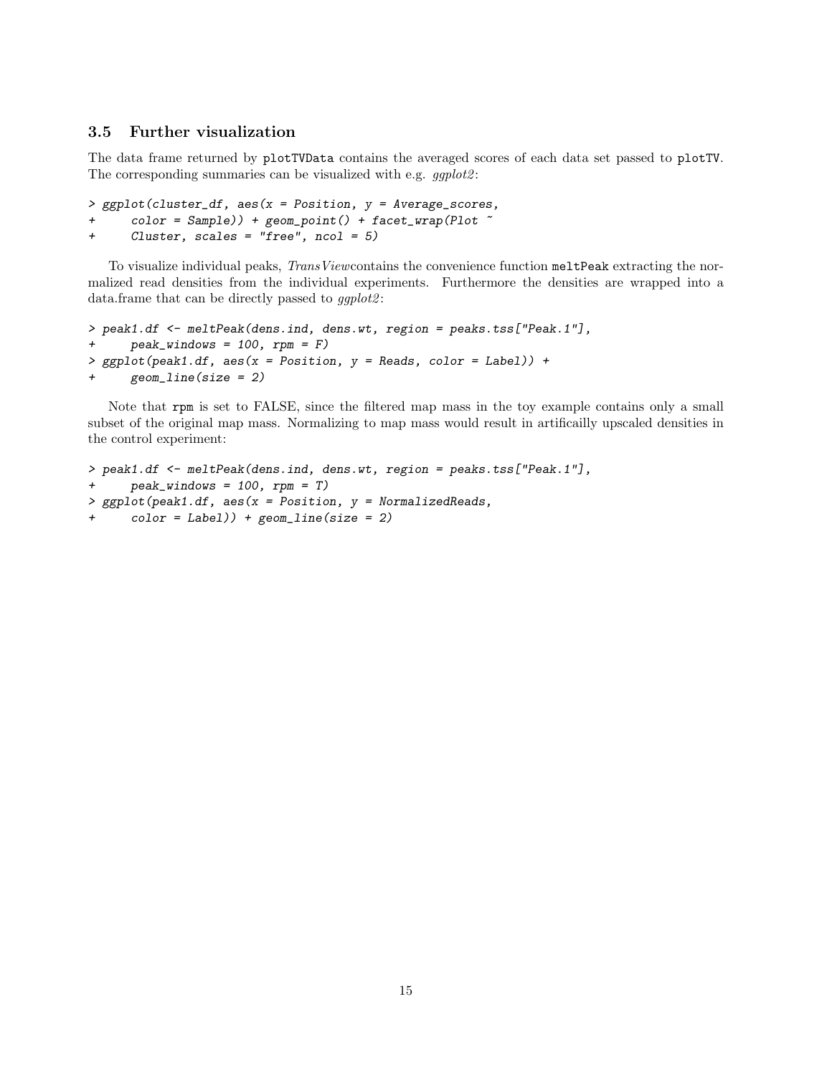### <span id="page-14-0"></span>3.5 Further visualization

The data frame returned by plotTVData contains the averaged scores of each data set passed to plotTV. The corresponding summaries can be visualized with e.g.  $qgplot2$ :

> ggplot(cluster\_df, aes(x = Position, y = Average\_scores,  $color = Sample)$ ) + geom\_point() + facet\_wrap(Plot  $\tilde{ }$ + Cluster, scales = "free", ncol = 5)

To visualize individual peaks, TransViewcontains the convenience function meltPeak extracting the normalized read densities from the individual experiments. Furthermore the densities are wrapped into a data.frame that can be directly passed to  $ggplot2$ :

```
> peak1.df <- meltPeak(dens.ind, dens.wt, region = peaks.tss["Peak.1"],
+ peak_windows = 100, rpm = F)
> ggplot(peak1.df, aes(x = Position, y = Reads, color = Label)) +
+ geom_line(size = 2)
```
Note that rpm is set to FALSE, since the filtered map mass in the toy example contains only a small subset of the original map mass. Normalizing to map mass would result in artificailly upscaled densities in the control experiment:

```
> peak1.df <- meltPeak(dens.ind, dens.wt, region = peaks.tss["Peak.1"],
+ peak_windows = 100, rpm = T)
> ggplot(peak1.df, aes(x = Position, y = NormalizedReads,
+ color = Label)) + geom_line(size = 2)
```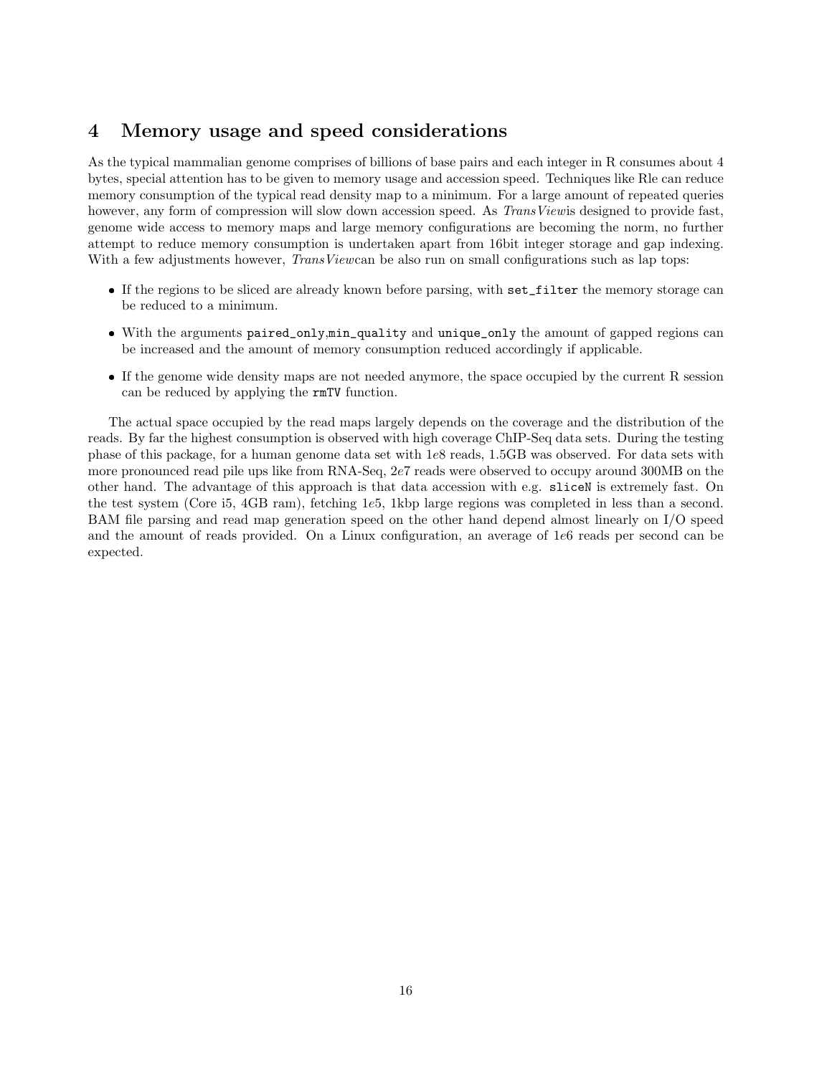## <span id="page-15-0"></span>4 Memory usage and speed considerations

As the typical mammalian genome comprises of billions of base pairs and each integer in R consumes about 4 bytes, special attention has to be given to memory usage and accession speed. Techniques like Rle can reduce memory consumption of the typical read density map to a minimum. For a large amount of repeated queries however, any form of compression will slow down accession speed. As TransViewis designed to provide fast, genome wide access to memory maps and large memory configurations are becoming the norm, no further attempt to reduce memory consumption is undertaken apart from 16bit integer storage and gap indexing. With a few adjustments however, *TransViewcan* be also run on small configurations such as lap tops:

- If the regions to be sliced are already known before parsing, with set\_filter the memory storage can be reduced to a minimum.
- With the arguments paired\_only,min\_quality and unique\_only the amount of gapped regions can be increased and the amount of memory consumption reduced accordingly if applicable.
- If the genome wide density maps are not needed anymore, the space occupied by the current R session can be reduced by applying the rmTV function.

The actual space occupied by the read maps largely depends on the coverage and the distribution of the reads. By far the highest consumption is observed with high coverage ChIP-Seq data sets. During the testing phase of this package, for a human genome data set with 1e8 reads, 1.5GB was observed. For data sets with more pronounced read pile ups like from RNA-Seq, 2e7 reads were observed to occupy around 300MB on the other hand. The advantage of this approach is that data accession with e.g. sliceN is extremely fast. On the test system (Core i5, 4GB ram), fetching 1e5, 1kbp large regions was completed in less than a second. BAM file parsing and read map generation speed on the other hand depend almost linearly on I/O speed and the amount of reads provided. On a Linux configuration, an average of 1e6 reads per second can be expected.